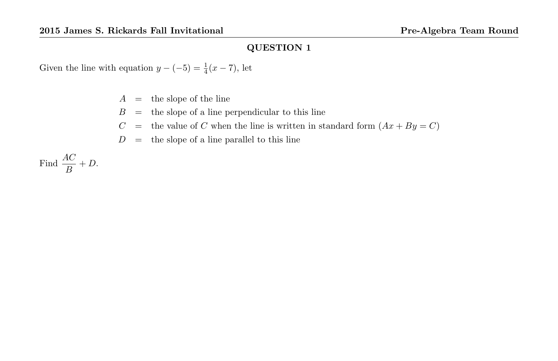Given the line with equation  $y - (-5) = \frac{1}{4}(x - 7)$ , let

- $A =$  the slope of the line
- $B =$  the slope of a line perpendicular to this line
- $C =$  the value of C when the line is written in standard form  $(Ax + By = C)$
- $D =$  the slope of a line parallel to this line

Find  $\frac{AC}{B} + D$ .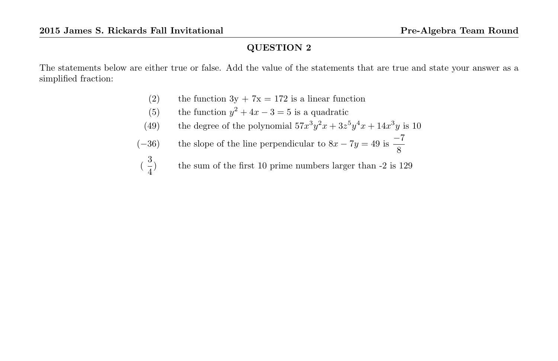The statements below are either true or false. Add the value of the statements that are true and state your answer as a simplified fraction:

- (2) the function  $3y + 7x = 172$  is a linear function
- (5) the function  $y^2 + 4x 3 = 5$  is a quadratic
- (49) the degree of the polynomial  $57x^3y^2x + 3z^5y^4x + 14x^3y$  is 10
- $(-36)$  the slope of the line perpendicular to  $8x 7y = 49$  is  $\frac{-7}{8}$
- $(\frac{3}{4})$ 4 ) the sum of the first 10 prime numbers larger than -2 is 129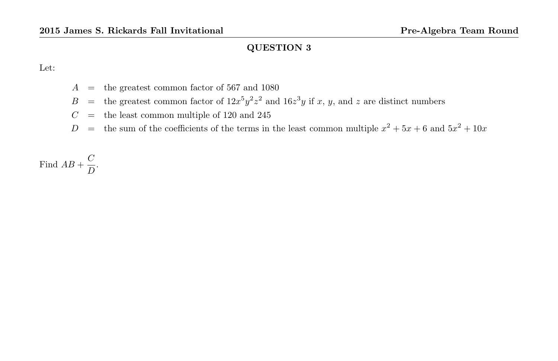Let:

- $A =$  the greatest common factor of 567 and 1080
- B = the greatest common factor of  $12x^5y^2z^2$  and  $16z^3y$  if x, y, and z are distinct numbers
- $C =$  the least common multiple of 120 and 245
- $D =$  the sum of the coefficients of the terms in the least common multiple  $x^2 + 5x + 6$  and  $5x^2 + 10x$

Find  $AB + \frac{C}{D}$  $\frac{8}{D}$ .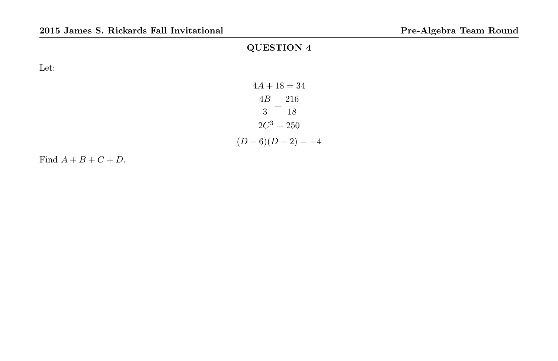Let:

| $4A + 18 = 34$    |  |
|-------------------|--|
| $4B$ 216          |  |
| $3 \quad 18$      |  |
| $2C^3 = 250$      |  |
| $(D-6)(D-2) = -4$ |  |

Find  $A + B + C + D$ .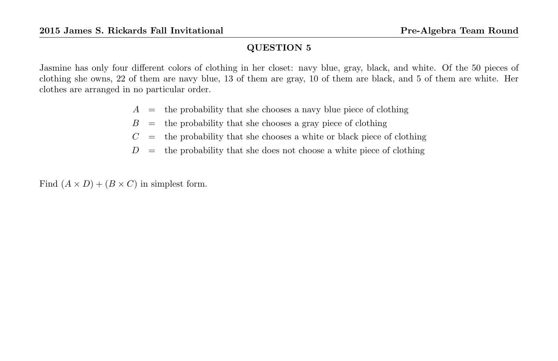Jasmine has only four different colors of clothing in her closet: navy blue, gray, black, and white. Of the 50 pieces of clothing she owns, 22 of them are navy blue, 13 of them are gray, 10 of them are black, and 5 of them are white. Her clothes are arranged in no particular order.

- $A =$  the probability that she chooses a navy blue piece of clothing
- $B =$  the probability that she chooses a gray piece of clothing
- $C =$  the probability that she chooses a white or black piece of clothing
- $D =$  the probability that she does not choose a white piece of clothing

Find  $(A \times D) + (B \times C)$  in simplest form.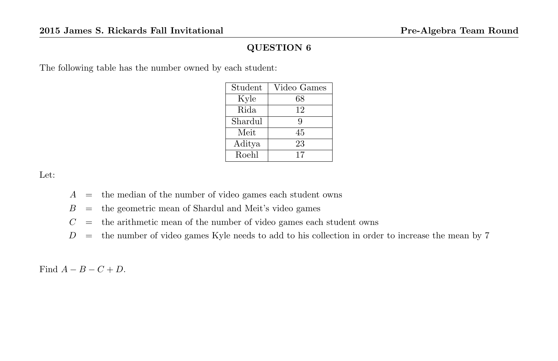The following table has the number owned by each student:

| Student | Video Games |
|---------|-------------|
| Kyle    | 68          |
| Rida    | 12          |
| Shardul | 9           |
| Meit    | 45          |
| Aditya  | 23          |
| Roehl   | 17          |

Let:

 $A =$  the median of the number of video games each student owns

 $B =$  the geometric mean of Shardul and Meit's video games

- $C =$  the arithmetic mean of the number of video games each student owns
- $D =$  the number of video games Kyle needs to add to his collection in order to increase the mean by 7

Find  $A - B - C + D$ .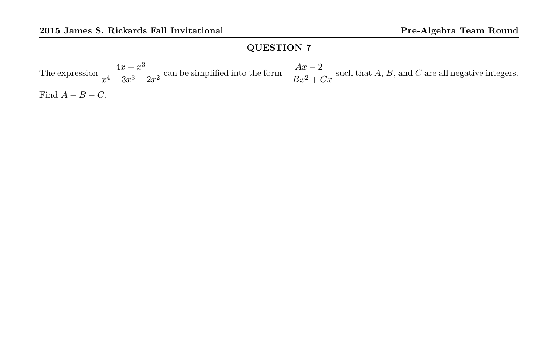The expression  $\frac{4x - x^3}{4}$  $\frac{4x-x^3}{x^4-3x^3+2x^2}$  can be simplified into the form  $\frac{Ax-2}{-Bx^2+Cx}$  such that A, B, and C are all negative integers. Find  $A - B + C$ .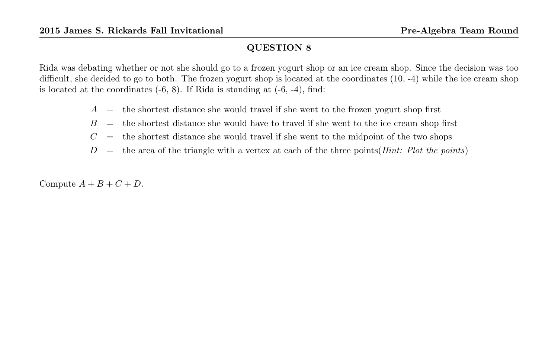Rida was debating whether or not she should go to a frozen yogurt shop or an ice cream shop. Since the decision was too difficult, she decided to go to both. The frozen yogurt shop is located at the coordinates (10, -4) while the ice cream shop is located at the coordinates  $(-6, 8)$ . If Rida is standing at  $(-6, -4)$ , find:

- $A =$  the shortest distance she would travel if she went to the frozen yogurt shop first
- $B =$  the shortest distance she would have to travel if she went to the ice cream shop first
- $C =$  the shortest distance she would travel if she went to the midpoint of the two shops

 $D =$  the area of the triangle with a vertex at each of the three points(*Hint: Plot the points*)

Compute  $A + B + C + D$ .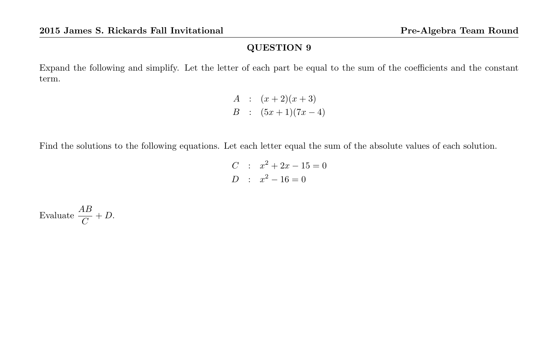Expand the following and simplify. Let the letter of each part be equal to the sum of the coefficients and the constant term.

> A :  $(x+2)(x+3)$  $B : (5x+1)(7x-4)$

Find the solutions to the following equations. Let each letter equal the sum of the absolute values of each solution.

$$
C : x2 + 2x - 15 = 0
$$
  

$$
D : x2 - 16 = 0
$$

Evaluate  $\frac{AB}{C} + D$ .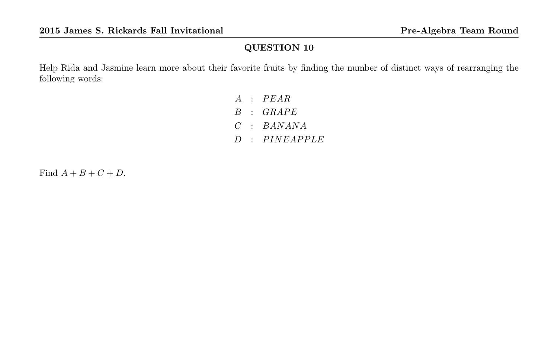Help Rida and Jasmine learn more about their favorite fruits by finding the number of distinct ways of rearranging the following words:

> $A$  :  $PEAR$  $B$  :  $GRAPE$  $C$  : BANANA  $D$  :  $P$  INEAPPLE

Find  $A + B + C + D$ .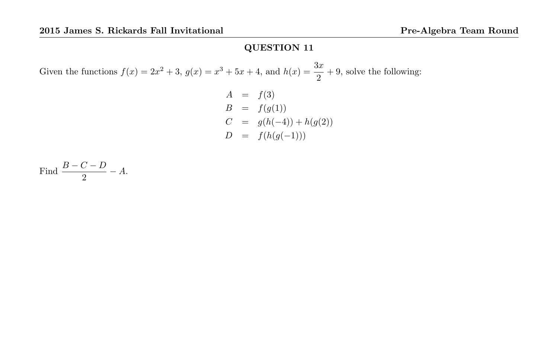Given the functions  $f(x) = 2x^2 + 3$ ,  $g(x) = x^3 + 5x + 4$ , and  $h(x) = \frac{3x}{2} + 9$ , solve the following:

$$
A = f(3)
$$
  
\n
$$
B = f(g(1))
$$
  
\n
$$
C = g(h(-4)) + h(g(2))
$$
  
\n
$$
D = f(h(g(-1)))
$$

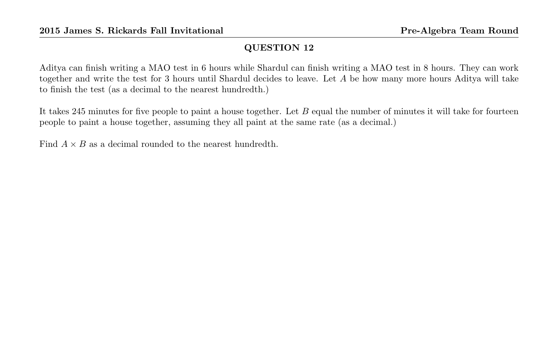Aditya can finish writing a MAO test in 6 hours while Shardul can finish writing a MAO test in 8 hours. They can work together and write the test for 3 hours until Shardul decides to leave. Let A be how many more hours Aditya will take to finish the test (as a decimal to the nearest hundredth.)

It takes 245 minutes for five people to paint a house together. Let  $B$  equal the number of minutes it will take for fourteen people to paint a house together, assuming they all paint at the same rate (as a decimal.)

Find  $A \times B$  as a decimal rounded to the nearest hundredth.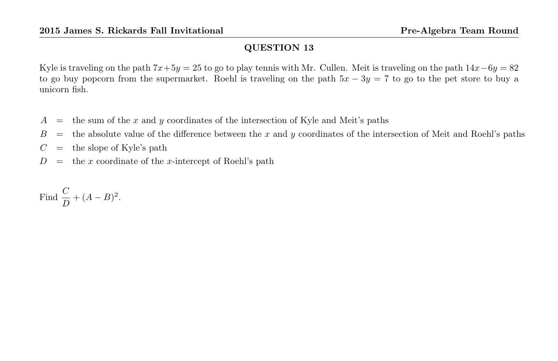Kyle is traveling on the path  $7x+5y = 25$  to go to play tennis with Mr. Cullen. Meit is traveling on the path  $14x-6y = 82$ to go buy popcorn from the supermarket. Roehl is traveling on the path  $5x - 3y = 7$  to go to the pet store to buy a unicorn fish.

- $A =$  the sum of the x and y coordinates of the intersection of Kyle and Meit's paths
- $B =$  the absolute value of the difference between the x and y coordinates of the intersection of Meit and Roehl's paths
- $C =$  the slope of Kyle's path
- $D =$  the x coordinate of the x-intercept of Roehl's path

Find 
$$
\frac{C}{D} + (A - B)^2.
$$